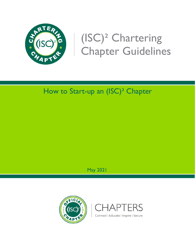

# (ISC)² Chartering Chapter Guidelines

# How to Start-up an (ISC)² Chapter

May 2021



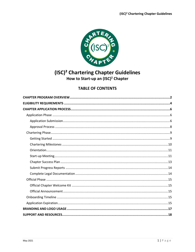

## (ISC)<sup>2</sup> Chartering Chapter Guidelines How to Start-up an (ISC)<sup>2</sup> Chapter

### **TABLE OF CONTENTS**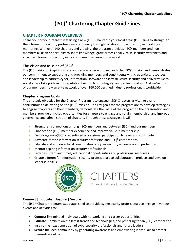# **(ISC)² Chartering Chapter Guidelines**

#### <span id="page-2-0"></span>**CHAPTER PROGRAM OVERVIEW**

Thank you for your interest in starting a new  $(ISC)^2$  Chapter in your local area! (ISC)<sup>2</sup> aims to strengthen the information security professional community through collaboration, education, networking and mentoring. With over 140 chapters and growing, the program provides (ISC)<sup>2</sup> members and nonmembers alike an opportunity to share knowledge, grow professionally, raise security awareness and advance information security in local communities around the world.

#### **The Vision and Mission of (ISC)<sup>2</sup>**

The (ISC)<sup>2</sup> vision of inspiring a safe and secure cyber world expands the (ISC)<sup>2</sup> mission and demonstrates our commitment to supporting and providing members and constituents with credentials, resources, and leadership to address cyber, information, software and infrastructure security and deliver value to society. We take pride in our reputation built on trust, integrity, and professionalism. And we're proud of our membership – an elite network of over 160,000 certified industry professionals worldwide.

#### **Chapter Program Goals**

The strategic objective for the Chapter Program is to engage (ISC)² Chapters as vital, relevant contributors to delivering on the  $(ISC)^2$  mission. The key goals for the program are to develop strategies to engage chapters and their members, demonstrate the value of the program to the organization and members, provide enriched opportunities for chapters to engage and retain membership, and improve governance and administration of chapters. Through these strategies, it will:

- Strengthen connections among  $(ISC)^2$  members and between  $(ISC)^2$  and our members
- Enhance the  $(ISC)^2$  member experience and improve value in membership
- Encourage non-(ISC)<sup>2</sup> credentialed professional participation to learn and contribute
- Advocate for the information security profession and  $(ISC)^2$  certifications
- Educate and empower local communities on cyber security awareness and protection
- Mentor aspiring information security professionals
- Provide current and timely educational opportunities and professional resources
- Create a forum for information security professionals to collaborate on projects and develop leadership skills





#### **Connect | Educate | Inspire | Secure**

The  $(ISC)^2$  Chapter Program was established to provide cybersecurity professionals to engage in various events and activities to:

- **Connect** like-minded individuals with networking and career opportunities
- Educate members on the latest trends and technologies, and preparing for an (ISC)<sup>2</sup> certification
- **Inspire** the next generation of cybersecurity professionals and future leaders
- **Secure** the local community by generating awareness and empowering individuals to protect themselves online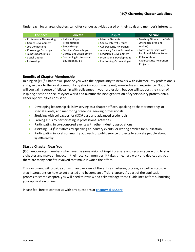Under each focus area, chapters can offer various activities based on their goals and member's interests:

| <b>Connect</b>                                                                                                                                              | <b>Educate</b>                                                                                                                                                      | <b>Inspire</b>                                                                                                                                                                                                                                     | <b>Secure</b>                                                                                                                                                                                  |
|-------------------------------------------------------------------------------------------------------------------------------------------------------------|---------------------------------------------------------------------------------------------------------------------------------------------------------------------|----------------------------------------------------------------------------------------------------------------------------------------------------------------------------------------------------------------------------------------------------|------------------------------------------------------------------------------------------------------------------------------------------------------------------------------------------------|
| • Professional Networking<br>• Career Development<br>• Job Connections<br>• Knowledge Exchange<br>• Joint Opportunities<br>• Social Outings<br>• Fellowship | <b>Industry Expert</b><br>Presentations<br><b>Study Groups</b><br>• Seminars/Workshops<br>• Curriculum Development<br>• Continuing Professional<br>Education (CPEs) | <b>Mentor Students</b><br><b>Special Interest Groups</b><br>• Cybersecurity Awareness<br>Advocacy for the Profession<br>٠<br>Leadership Development<br>$\bullet$<br><b>Professional Development</b><br>٠<br><b>Fundraising (Scholarships)</b><br>۰ | Teaching Others to be Safe<br>Online (children and<br>seniors)<br>• Form Partnerships with<br><b>Public and Private Sector</b><br>Collaborate on<br><b>Cybersecurity Awareness</b><br>Projects |

#### **Benefits of Chapter Membership**

Joining an (ISC)² Chapter will provide you with the opportunity to network with cybersecurity professionals and give back to the local community by sharing your time, talent, knowledge and experience. Not only will you gain a sense of fellowship with colleagues in your profession, but you will support the vision of inspiring a safe and secure cyber world and nurture the next generation of cybersecurity professionals. Other opportunities consist of:

- Developing leadership skills by serving as a chapter officer, speaking at chapter meetings or special events, and mentoring credential seeking professionals
- Studying with colleagues for  $(ISC)^2$  base and advanced credentials
- Earning CPEs by participating in professional activities
- Participating in co-sponsored events with other industry associations
- Assisting (ISC)<sup>2</sup> initiatives by speaking at industry events, or writing articles for publication
- Participating in local community outreach or public service projects to educate people about cybersecurity

#### **Start a Chapter Near You!**

(ISC)<sup>2</sup> encourages members who have the same vision of inspiring a safe and secure cyber world to start a chapter and make an impact in their local communities. It takes time, hard work and dedication, but there are many benefits involved that make it worth the effort.

This document will provide you with an overview of the entire chartering process, as well as step-bystep instructions on how to get started and become an official chapter. As part of the application process to start a chapter, you will need to review and acknowledge these Guidelines before submitting your application online.

Please feel free to contact us with any questions at [chapters@isc2.org.](mailto:chapters@isc2.org)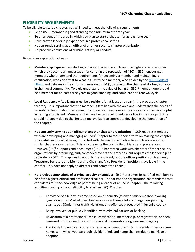#### <span id="page-4-0"></span>**ELIGIBILITY REQUIREMENTS**

To be eligible to start a chapter, you will need to meet the following requirements:

- Be an (ISC)<sup>2</sup> member in good standing for a minimum of three years
- Be a resident of the area in which you plan to start a chapter for at least one year
- Have proven leadership experience in a professional setting
- Not currently serving as an officer of another security chapter organization
- No previous convictions of criminal activity or conduct

Below is an explanation of each:

- **Membership Experience -** Starting a chapter places the applicant in a high-profile position in which they become an ambassador for carrying the reputation of  $(ISC)^2$ .  $(ISC)^2$  encourages members who understand the requirements for becoming a member and maintaining a certification, who can attest to what it's like to be a member, who abides by the  $(ISC)^2$  Code of [Ethics,](http://www.isc2.org/ethics) and believes in the vision and mission of (ISC)<sup>2</sup>, to take on the charge of starting a chapter in their local community. To truly understand the value of being an  $(ISC)^2$  member, one should be a member for at least three years in good standing, and complete one renewal cycle.
- **Local Residency –** Applicants must be a resident for at least one year in the proposed chapter territory. It is important that the member is familiar with the area and understands the needs of security professionals in the community. Having connections in the area can also be very helpful in getting established. Members who have heavy travel schedules or live in the area part time should not apply due to the limited time available to commit to developing the foundation of the chapter.
- Not currently serving as an officer of another chapter organization (ISC)<sup>2</sup> requires members who are developing and managing an  $(ISC)^2$  Chapter to focus their efforts on making the chapter successful, and to avoid being distracted with the mission and objectives of leading another similar chapter organization. This also prevents the possibility of biases and preferences. However, (ISC)<sup>2</sup> supports and encourages (ISC)<sup>2</sup> Chapters to work with chapters of other security organizations by producing joint/cobranded events and activities, but requires the leadership be separate. (NOTE: This applies to not only the applicant, but the officer positions of President, Treasurer, Secretary and Membership Chair; and Vice President if position is available in the chapter. This does not apply to directors and committee chairs.)
- **No previous convictions of criminal activity or conduct -** (ISC)² presumes its certified members to be of the highest ethical and professional caliber. To that end the organization has standards that candidates must acknowledge as part of being a leader of an  $(ISC)^2$  Chapter. The following activities may impact your eligibility to start an  $(ISC)^2$  Chapter:
	- Convicted of a felony, a crime based on dishonesty (felony or misdemeanor involving lying) or a Court Martial in military service or is there a felony charge now pending against you (Omit minor traffic violations and offenses prosecuted in juvenile court.)
	- Being involved, or publicly identified, with criminal hackers or hacking
	- Revocation of a professional license, certification, membership, or registration, or been censured or disciplined by any professional organization or government agency
	- Previously known by any other name, alias, or pseudonym (Omit user identities or screen names with which you were publicly identified, and name changes due to marriage or adoption.)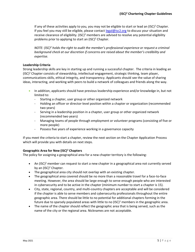If any of these activities apply to you, you may not be eligible to start or lead an  $(ISC)^2$  Chapter. If you feel you may still be eligible, please contact [legal@isc2.org](mailto:legal@isc2.org) to discuss your situation and receive clearance of eligibility.  $(ISC)^2$  members are advised to resolve any potential eligibility problems prior to applying to start an  $(ISC)^2$  Chapter.

*NOTE: (ISC)<sup>2</sup> holds the right to audit the member's professional experience or request a criminal background check at our discretion if concerns are raised about the member's credibility and expertise.*

#### **Leadership Criteria**

Strong leadership skills are key in starting up and running a successful chapter. The criteria in leading an  $(ISC)^2$  Chapter consists of stewardship, intellectual engagement, strategic thinking, team player, communications skills, ethical integrity, and transparency. Applicants should see the value of sharing ideas, interacting, and working with peers to build a network of colleagues and friends along the way.

- In addition, applicants should have previous leadership experience and/or knowledge in, but not limited to:
	- Starting a chapter, user group or other organized network
	- Holding an officer or director-level position within a chapter or organization (recommended two years)
	- Serving in a leadership position in a chapter, user group or other organized network (recommended two years)
	- Managing teams of people through employment or volunteer programs (consisting of five or more people)
	- Possess five years of experience working in a governance capacity

If you meet the criteria to start a chapter, review the next section on the Chapter Application Process which will provide you with details on next steps.

#### **Geographic Area for New (ISC)<sup>2</sup> Chapters**

The policy for assigning a geographical area for a new chapter territory is the following:

- An  $(ISC)^2$  member can request to start a new chapter in a geographical area not currently served by an  $(ISC)^2$  Chapter.
- The geographical area city should not overlap with an existing chapter.
- The geographical area covered should be no more than a reasonable travel for a face-to-face meeting. However, the area should be large enough to serve enough people who are interested in cybersecurity and to be active in the chapter (minimum number to start a chapter is 15).
- City, state, regional, country, and multi-country chapters are acceptable and will be considered if the chapter is able to serve members and cybersecurity professionals throughout the entire geographic area. There should be little to no potential for additional chapters forming in the future due to sparsely populated areas with little to no  $(ISC)^2$  members in the geographic area.
- The name of the chapter should reflect the geographic area that is being served, such as the name of the city or the regional area. Nicknames are not acceptable.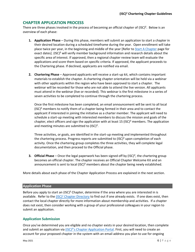#### <span id="page-6-0"></span>**CHAPTER APPLICATION PROCESS**

There are three phases involved in the process of becoming an official chapter of (ISC)². Below is an overview of each phase:

- **1. Application Phase** During this phase, members will submit an application to start a chapter in their desired location during a scheduled timeframe during the year. Open enrollment will take place twice per year, in the beginning and middle of the year [Refer t[o Start A Chapter](https://www.isc2.org/Chapters/Start-Chapter) page for exact dates]. (ISC)<sup>2</sup> will verify member background information and research details about the specific area of interest. If approved, then a regional chapter review team will evaluate the applications and score them based on specific criteria. If approved, the applicant proceeds to the Chartering phase. If declined, applicants are notified via email.
- **2. Chartering Phase**  Approved applicants will receive a start-up kit, which contains important materials to establish the chapter. A chartering chapter orientation will be held via a webinar with other applicants within the region who have been approved to start a chapter. The webinar will be recorded for those who are not able to attend the live version. All applicants must attend in the webinar (live or recorded). This webinar is the first milestone in a series of seven activities to be completed to continue through the chartering process.

Once the first milestone has been completed, an email announcement will be sent to all local  $(ISC)^2$  members to notify them of a chapter being formed in their area and to contact the applicant if interested in joining the initiative as a charter member. The applicant will need to schedule a start-up meeting with interested members to discuss the mission and goals of the chapter, elect officers and sign the application with at least 15 (ISC)<sup>2</sup> members. The application and meeting minutes are submitted to (ISC)<sup>2</sup>.

Three activities, or goals, are identified in the start-up meeting and implemented throughout the chartering process. Progress reports are submitted to  $(ISC)^2$  upon completion of each activity. Once the chartering group completes the three activities, they will complete legal documentation, and then proceed to the Official phase.

**3. Official Phase** – Once the legal paperwork has been signed off by (ISC)², the chartering group becomes an official chapter. The chapter receives an Official Chapter Welcome Kit and an announcement is sent to local  $(ISC)^2$  members about the chapter being newly established.

More details about each phase of the Chapter Application Process are explained in the next section.

#### <span id="page-6-1"></span>**Application Phase**

Before you apply to start an (ISC)<sup>2</sup> Chapter, determine if the area where you are interested in is available. Refer to the  $(ISC)^2$  [Chapter Directory](https://www.isc2.org/ch-directory) to find out if one already exists. If one does exist, then contact the local chapter directly for more information about membership and activities. If a chapter does not exist, then consider working with a group of your professional colleagues in your region to submit an application.

#### <span id="page-6-2"></span>**Application Submission**

Once you've determined you are eligible and no chapter exists in your desired location, then complete and submit an application via (ISC)<sup>2</sup>'s Chapter Application Portal. First, you will need to create an account for your proposed chapter in the system with an email address you plan to use for ongoing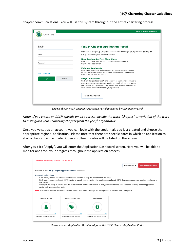| Login                   | (ISC) <sup>2</sup> Chapter Application Portal                                                                                                                                                                                                                                        |
|-------------------------|--------------------------------------------------------------------------------------------------------------------------------------------------------------------------------------------------------------------------------------------------------------------------------------|
| Email                   | Welcome to the (ISC) <sup>2</sup> Chapter Application Portal! Begin your journey in starting an<br>(ISC) <sup>2</sup> Chapter in your local community.                                                                                                                               |
| Password                | <b>New Applicants/First Time Users</b><br>Click the "Create New Account" button below in order to<br>begin a new application.                                                                                                                                                        |
| <b>Forgot Password?</b> | <b>Existing Applicants</b><br>Enter your Username and Password to complete the application.<br>(Your username is the email address and password you initially<br>used to set up your account.)                                                                                       |
| Login<br>Cancel         | <b>Forgot Password</b><br>Click on "Forgot Password" and enter your login email address to<br>reset your password. Once complete, an email will be sent asking<br>you to reset your password. You will receive a confirmation email<br>once you've successfully reset your password. |

chapter communications. You will use this system throughout the entire chartering process.

*Shown above: (ISC)² Chapter Application Portal (powered by CommunityForce)*

*Note: If you create an (ISC)²-specific email address, include the word "chapter" or variation of the word to distinguish your chartering chapter from the (ISC)² organization.* 

Once you've set up an account, you can login with the credentials you just created and choose the appropriate regional application. Please note that there are specific dates in which an application to start a chapter can be made. Open enrollment dates will be listed on the screen.

After you click "Apply", you will enter the Application Dashboard screen. Here you will be able to monitor and track your progress throughout the application process.

|                                     |                                                                          |                                                                                                                         | <b>Final Review and Submit</b><br>Choose Action $\blacktriangleright$                                                                                |
|-------------------------------------|--------------------------------------------------------------------------|-------------------------------------------------------------------------------------------------------------------------|------------------------------------------------------------------------------------------------------------------------------------------------------|
|                                     | Welcome to your (ISC) <sup>2</sup> Chapter Application Portal dashboard. |                                                                                                                         |                                                                                                                                                      |
| <b>Important Instructions:</b>      |                                                                          |                                                                                                                         |                                                                                                                                                      |
|                                     |                                                                          | . Click on any section and fill in the answers to questions, as they are presented on the page.                         |                                                                                                                                                      |
|                                     |                                                                          |                                                                                                                         | Each section below must read 100% in order to submit your application. If a section does not read 100%, there are unanswered required question(s) in |
| that section.                       |                                                                          |                                                                                                                         | • When you are ready to submit, click the "Final Review and Submit" button to verify your attachments have uploaded correctly and the application    |
|                                     |                                                                          |                                                                                                                         |                                                                                                                                                      |
| contains all necessary information. |                                                                          |                                                                                                                         |                                                                                                                                                      |
|                                     |                                                                          |                                                                                                                         |                                                                                                                                                      |
|                                     |                                                                          | Note: The file size for each document uploaded should not exceed 10mb/upload. Time given is in Eastern Time Zone (EST). |                                                                                                                                                      |
|                                     |                                                                          |                                                                                                                         |                                                                                                                                                      |
| <b>Member Profile</b>               | <b>Chapter Concept Plan</b>                                              | Declaration                                                                                                             |                                                                                                                                                      |
|                                     |                                                                          |                                                                                                                         |                                                                                                                                                      |
|                                     |                                                                          |                                                                                                                         |                                                                                                                                                      |
|                                     |                                                                          |                                                                                                                         |                                                                                                                                                      |
|                                     |                                                                          |                                                                                                                         |                                                                                                                                                      |
| 0%                                  | 0%                                                                       | 0%                                                                                                                      |                                                                                                                                                      |

*Shown above: Application Dashboard for in the (ISC)² Chapter Application Portal*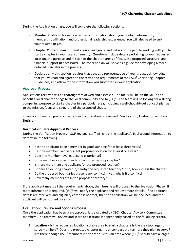During the Application phase, you will complete the following sections:

- **Member Profile** this section requests information about your contact information, membership affiliation, and professional leadership experience. You will also need to submit your resume or CV.
- **Chapter Concept Plan**  submit a vision and goals, and details of the people working with you to start a chapter in your local community. Questions include details pertaining to your requested location, the purpose and mission of the chapter, areas of focus, the proposed structure, and financial support (if necessary). The concept plan will serve as a guide for developing a more detailed plan later in the process.
- **Declaration** this section requires that you, as a representative of your group, acknowledge that you've read and agreed to the terms and requirements of the (ISC)² Chartering Chapter Guidelines, and affirm to the information you submitted in your application.

#### <span id="page-8-0"></span>**Approval Process**

Applications received will be thoroughly reviewed and assessed. The focus will be on the value and benefit a local chapter brings to the local community and to (ISC)². The team will be looking for a strong, compelling purpose to start a chapter in a particular area, including a well-thought-out concept plan as to the mission, focus and structure of the proposed chapter.

There is a three-step process in which each application is reviewed: **Verification**, **Evaluation** and **Final Decision**.

#### **Verification: Pre-Approval Process**

During the Verification Process, (ISC)² regional staff will check the applicant's background information to determine the following:

- Has the applicant been a member in good standing for at least three years?
- Has the member lived in current proposed location for at least one year?
- Does the member have leadership experience?
- Is the member a current leader of another security chapter?
- Is there more than one applicant for the proposed location?
- Is there an existing chapter in/nearby the requested territory? If so, how close is the chapter?
- Do the proposed boundaries present any conflict? If yes, why is it a conflict?
- How many members are in the proposed territory?

If the applicant meets all the requirements above, then he/she will proceed to the Evaluation Phase. If more information is required, (ISC)<sup>2</sup> will notify the applicant and request more details. If no additional details are received, and eligibility criteria is not met, then the application will be declined, and the applicant will be notified via email.

#### **Evaluation: Review and Scoring Process**

Once the application has been pre-approved, it is evaluated by (ISC)² Chapter Advisory Committee members. The team will review and score applications independently based on the following criteria:

1. **Location** – Is the requested location a viable area to start a chapter? Is the area too large to serve members? Does the proposed chapter name encompass the territory they plan to serve? Are there enough (ISC)<sup>2</sup> members in the area? Is this an area where (ISC)<sup>2</sup> should have a larger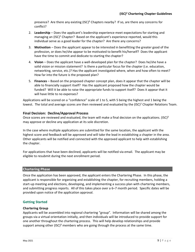presence? Are there any existing (ISC)² Chapters nearby? If so, are there any concerns for conflict?

- 2. **Leadership** Does the applicant's leadership experience meet expectations for starting and managing an (ISC)<sup>2</sup> Chapter? Based on the applicant's experience reported, would this individual serve as a good leader for the chapter? Are there any concerns?
- 3. **Motivation** Does the applicant appear to be interested in benefitting the greater good of the profession, or does he/she appear to be motivated to benefit his/herself? Does the applicant have the time to commit and dedicate to starting the chapter?
- 4. **Vision** Does the applicant have a well-developed plan for the chapter? Does he/she have a solid vision or mission statement? Is there a particular focus for the chapter (i.e. education, networking, service, etc.)? Has the applicant investigated where, when and how often to meet? How far into the future is the proposed plan?
- 5. **Finances**  Based on the proposed chapter concept plan, does it appear that the chapter will be able to financially support itself? Has the applicant proposed how the chapter would be funded? Will it be able to raise the appropriate funds to support itself? Does it appear that it will have little to no expenses?

Applications will be scored on a "confidence" scale of 1 to 5, with 5 being the highest and 1 being the lowest. The total and average scores are then reviewed and evaluated by the (ISC)<sup>2</sup> Chapter Relations Team.

#### **Final Decision: Decline/Approval Process**

Once scores are reviewed and evaluated, the team will make a final decision on the applications.  $(ISC)^2$ may approve or decline any application at its sole discretion.

In the case where multiple applications are submitted for the same location, the applicant with the highest score and feedback will be approved and will take the lead in establishing a chapter in the area. Other applicants will be notified and connected with the approved applicant to help with establishing the chapter.

For applications that have been declined, applicants will be notified via email. The applicant may be eligible to resubmit during the next enrollment period.

#### <span id="page-9-0"></span>**Chartering Phase**

Once the application has been approved, the applicant enters the Chartering Phase. In this phase, the applicant is responsible for organizing and establishing the chapter, for recruiting members, holding a start-up meeting and elections, developing, and implementing a success plan with chartering members, and submitting progress reports. All of this takes place over a 6–7 month period. Specific dates will be provided upon notice of the application approval.

#### <span id="page-9-1"></span>**Getting Started**

#### **Chartering Group**

Applicants will be assembled into regional chartering "group". Information will be shared among the groups via a virtual orientation initially, and then individuals will be introduced to provide support for one another throughout the chartering process. This will help develop relationships and provide support among other  $(ISC)^2$  members who are going through the process at the same time.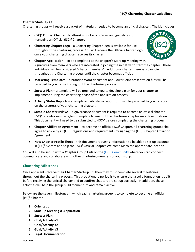#### **Chapter Start-Up Kit**

Chartering groups will receive a packet of materials needed to become an official chapter. The kit includes:

- **(ISC)² Official Chapter Handbook**  contains policies and guidelines for managing an Official (ISC)² Chapter.
- **Chartering Chapter Logo** a Chartering Chapter logo is available for use throughout the chartering process. You will receive the Official Chapter logo once your chartering chapter receives its charter.



- **Chapter Application** to be completed at the chapter's Start-up Meeting with signatures from members who are interested in joining the initiative to start the chapter. These individuals will be considered "charter members". Additional charter members can join throughout the Chartering process until the chapter becomes official.
- **Marketing Templates**  a branded Word document and PowerPoint presentation files will be provided to you to use throughout the chartering process.
- **Success Plan** a template will be provided to you to develop a plan for your chapter to implement during the chartering phase of the application process.
- **Activity Status Reports**  a sample activity status report form will be provided to you to report on the progress of your chartering chapter.
- **Sample Chapter Bylaws**  a governance document is required to become an official chapter.  $(ISC)^2$  provides sample bylaws template to use, but the chartering chapter may develop its own. This document will need to be submitted to (ISC)² before completing the chartering process.
- **Chapter Affiliation Agreement** to become an official (ISC)² Chapter, all chartering groups shall agree to abide by all  $(ISC)^2$  regulations and requirements by signing the  $(ISC)^2$  Chapter Affiliation Agreement.
- **New Chapter Profile Sheet** this document requests information to be able to set up accounts in (ISC)<sup>2</sup> system and ship the (ISC)<sup>2</sup> Official Chapter Welcome Kit to the appropriate location.

You will also be set up with a **Chapter Group Hub** on the  $(ISC)^2$  [Community](http://community.isc2.org/) where you can connect, communicate and collaborate with other chartering members of your group.

#### <span id="page-10-0"></span>**Chartering Milestones**

Once applicants receive their Chapter Start-up Kit, then they must complete several milestones throughout the chartering process. This probationary period is to ensure that a solid foundation is built before receiving the official charter and to confirm chapters are set up correctly. In addition, these activities will help the group build momentum and remain active.

Below are the seven milestones in which each chartering group is to complete to become an official (ISC)² Chapter:

- **1. Orientation**
- **2. Start-up Meeting & Application**
- **3. Success Plan**
- **4. Goal/Activity #1**
- **5. Goal/Activity #2**
- **6. Goal/Activity #3**
- **7. Legal Documentation**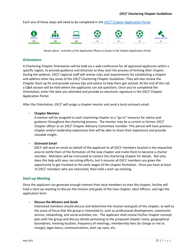Each one of these steps will need to be completed in the [\(ISC\)² Chapter Application Portal.](https://isc2chapters.communityforce.com/Login.aspx)



*Shown above: Activities of the Application Phase as shown in the Chapter Application Portal.*

#### <span id="page-11-0"></span>**Orientation**

A Chartering Chapter Orientation will be held via a web conference for all approved applicants within a specific region, to provide guidance and direction as they start the process of forming their chapter. During the webinar, (ISC)² regional staff will review rules and requirements for establishing a chapter and address other key areas of the (ISC)² Chartering Chapter Guidelines. They will also review the Chapter Start-up Kit and provide various tips and advice to help them get started. At the end of the call, a Q&A session will be held where the applicants can ask questions. Once you've completed the Orientation, enter the date you attended and provide an electronic signature in the (ISC)² Chapter Application Portal.

After the Orientation, (ISC)<sup>2</sup> will assign a chapter mentor and send a local outreach email.

#### • **Chapter Mentors**

A mentor will be assigned to each chartering chapter as a "go to" resource for advice and guidance throughout the chartering process. The mentor may be a current or former  $(ISC)^2$ Chapter officer or an (ISC)² Chapter Advisory Committee member. This person will have previous chapter and/or leadership experience that will be able to share their experience and provide valuable insight.

#### • **Outreach Email**

 $(ISC)^2$  will send an email on behalf of the applicant to all  $(ISC)^2$  members located in the requested area to notify them of the formation of the new chapter and invite them to become a charter member. Members will be instructed to contact the chartering chapter for details. Not only does this help with your recruiting efforts, but it ensures all  $(ISC)^2$  members are given the opportunity to get involved at the early stages of the chapter formation. Once you have at least 15 (ISC)<sup>2</sup> members who are interested, then hold a start-up meeting.

#### <span id="page-11-1"></span>**Start-up Meeting**

Once the applicant can generate enough interest from local members to start the chapter, he/she will hold a start-up meeting to discuss the mission and goals of the new chapter, elect officers, and sign the application form.

#### • **Discuss the Mission and Goals**

Interested members should discuss and determine the mission and goals of the chapter, as well as the areas of focus that the group is interested in, such as professional development, community service, networking, and social activities, etc. The applicant shall review his/her chapter concept plan with the group and discuss details pertaining to the proposed chapter name, geographical boundaries, meeting location, frequency of meetings, membership fees (to charge or not to charge), legal status, communications, start-up costs, etc.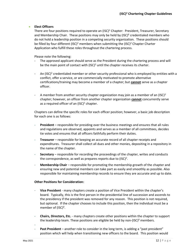#### • **Elect Officers**

There are four positions required to operate an  $(ISC)^2$  Chapter: President, Treasurer, Secretary and Membership Chair. These positions may only be held by  $(ISC)^2$  credentialed members who do not hold a leadership position in a competing security organization. These positions should be filled by four different (ISC)<sup>2</sup> members when submitting the (ISC)<sup>2</sup> Chapter Charter Application who fulfill these roles throughout the chartering process.

Please note the following:

- The approved applicant should serve as the President during the chartering process and will be the main point of contact with  $(ISC)^2$  until the chapter receives its charter.
- An (ISC)<sup>2</sup> credentialed member or other security professional who is employed by entities with a conflict, offer a service, or are commercially motivated to promote alternative certifications/training may become a member of a chapter; but **cannot** serve as a chapter officer.
- A member from another security chapter organization may join as a member of an  $(ISC)^2$ chapter; however, an officer from another chapter organization **cannot** concurrently serve as a required officer of an (ISC)<sup>2</sup> chapter.

Chapters can define the specific roles for each officer position; however, a basic job description for each one is as follows:

- **President** responsible for presiding over the business meetings and ensures that all rules and regulations are observed, appoints and serves as a member of all committees, decides tie votes and ensures that all officers faithfully perform their duties.
- **Treasurer** responsible for keeping an accurate record of all chapter receipts and expenditures. Treasurer shall collect all dues and other monies, depositing in a repository in the name of the chapter.
- **Secretary** responsible for recording the proceedings of the chapter, writes and conducts the correspondence, as well as prepares reports due to  $(ISC)^2$ .
- **Membership Chair** responsible for promoting the membership growth of the chapter and ensuring new and potential members can take part as easily and smoothly as possible. Also responsible for maintaining membership records to ensure they are accurate and up to date.

#### **Other Positions for Consideration:**

- **Vice President** many chapters create a position of Vice President within the chapter's board. Typically, this is the first person in the presidential line of succession and ascends to the presidency if the president was removed for any reason. This position is not required, but optional. If the chapter chooses to include this position, then the individual must be a member of  $(ISC)^2$ .
- **Chairs, Directors, Etc.** many chapters create other positions within the chapter to support the leadership team. These positions are eligible be held by non-(ISC)<sup>2</sup> members.
- Past President – another role to consider in the long term, is adding a "past president" position which will help when transitioning new officers to the board. This position would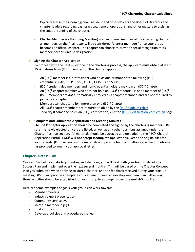typically advise the incoming/new President and other officers and Board of Directors and chapter leaders regarding past practices, general operations, and other matters to assist in the smooth running of the chapter.

- **Charter Member (or Founding Member)** – as an original member of the chartering chapter, all members on the final roster will be considered "charter members" once your group becomes an official chapter. The chapter can choose to provide special recognition to its members for this unique designation.

#### • **Signing the Chapter Application**

To proceed with the next milestone in the chartering process, the applicant must obtain at least 15 signatures from  $(ISC)^2$  members on the chapter application.

- An (ISC)<sup>2</sup> member is a professional who holds one or more of the following (ISC)<sup>2</sup> credentials: CAP, CCSP, CISSP, CSSLP, HCISPP and SSCP.
- $(ISC)^2$  credentialed members and non-credential holders may join an  $(ISC)^2$  Chapter
- An (ISC)<sup>2</sup> chapter member who does not hold an (ISC)<sup>2</sup> credential, is not a member of (ISC)<sup>2</sup>
- (ISC)<sup>2</sup> members are *not* automatically enrolled as a chapter member, and are not required to join a local chapter
- Members can choose to join more than one (ISC)<sup>2</sup> Chapter
- All (ISC)<sup>2</sup> chapter members are required to abide by the  $(ISC)^2$  Code of Ethics
- To verify if someone holds an (ISC)<sup>2</sup> certification, visit the (ISC)<sup>2</sup> [Certification Verification](https://www.isc2.org/MemberVerification) page

#### • **Complete and Submit the Application and Meeting Minutes**

The (ISC)² Chapter Application should be completed and signed by the chartering members. Be sure the newly elected officers are listed, as well as any other positions assigned under the Chapter Position section. All materials should be packaged and uploaded to the (ISC)² Chapter Application Portal. **(ISC)**<sup>2</sup> **will not accept incomplete applications.** Keep the original files for your records. (ISC)² will review the materials and provide feedback within a specified timeframe (as provided to you in your approval letter).

#### <span id="page-13-0"></span>**Chapter Success Plan**

Once you've held your start-up meeting and elections, you will work with your team to develop a Success Plan and implement over the next several months. This will be based on the Chapter Concept Plan you submitted when applying to start a chapter, and the feedback received during your start-up meeting. (ISC)<sup>2</sup> will provide a template you can use, or you can develop your own plan. Either way, three activities should be established for your group to accomplish over the next 4-5 months.

Here are some examples of goals your group can work towards:

- Member meeting
- Industry expert presentation
- Community service event
- Increase membership (%)
- Hold a study group
- Develop a policies and procedures manual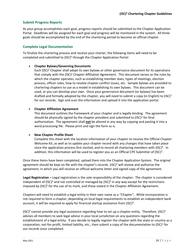#### <span id="page-14-0"></span>**Submit Progress Reports**

As your group accomplishes each goal, progress reports should be submitted to the Chapter Application Portal. Deadlines will be assigned for each goal and progress will be monitored in the system. All three goals should be accomplished by the end of the chartering period to become an official chapter.

#### <span id="page-14-1"></span>**Complete Legal Documentation**

To finalize the chartering process and receive your charter, the following items will need to be completed and submitted to (ISC)² through the Chapter Application Portal:

#### • **Chapter Bylaws/Governing Documents**

Each  $(ISC)^2$  Chapter shall adopt its own bylaws or other governance document for its operations that comply with the  $(ISC)^2$  Chapter Affiliation Agreement. This document serves as the rules by which the chapter operates, such as establishing member dues, types of meetings, election process, officer roles, how to resolve chapter conflict issues, etc. Sample bylaws are provided to chartering chapters to use as a model in establishing its own bylaws. This document can be used, or you can develop your own. Once your governance document (or bylaws) has been drafted and formally adopted by the chapter, you will need to submit a copy (in English) to  $(ISC)^2$ for our records. Sign and scan the information and upload it into the application portal.

#### • **Chapter Affiliation Agreement**

This document outlines the framework of your chapter and is legally binding. The agreement should be physically signed by the chapter president and submitted to (ISC)<sup>2</sup> for final authorization. The agreement shall **not** be altered in any way by copying and pasting it into a word processing file. Please print and sign the form as is.

#### • **New Chapter Profile Sheet**

Complete this sheet with the location information of your chapter to receive the Official Chapter Welcome Kit, as well as to update your chapter record with any changes that have taken place since the application process first started, and to record all chartering members with (ISC)². In addition, this information will be used to register you as an Official CPE Submitter of (ISC)<sup>2</sup>.

Once these items have been completed, upload them into the Chapter Application System. The original agreement should be kept on file with the chapter's records. (ISC)<sup>2</sup> will review and authorize the agreement, in which you will receive an official welcome letter and signed copy of the agreement.

**Legal Registration –** Legal registration is the sole responsibility of the chapter. The chapter is considered independent of  $(ISC)^2$  and not controlled or managed by  $(ISC)^2$  in any way except for the restrictions imposed by  $(ISC)^2$  for the use of its mark, and those stated in the Chapter Affiliation Agreement.

Chapters will need to establish a legal entity in their own name as a "Chapter"**.** While incorporation is not required to form a chapter, depending on local legal requirements to establish an independent bank account, it will be required to apply for financial startup assistance from (ISC)².

(ISC)<sup>2</sup> cannot provide any legal assistance regarding how to set up a chapter entity. Therefore, (ISC)<sup>2</sup> advises all members to seek legal advice in your local jurisdiction on any questions regarding the establishment of a legal entity. If you decide to legally register the chapter with the state or country as a corporation, not-for-profit, limited liability, etc., then submit a copy of the documentation to (ISC)<sup>2</sup> for our records once completed.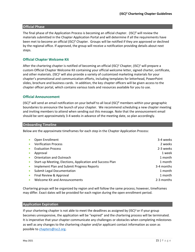#### <span id="page-15-0"></span>**Official Phase**

The final phase of the Application Process is becoming an official chapter. (ISC) $^2$  will review the materials submitted in the Chapter Application Portal and will determine if all the requirements have been met to become an official (ISC)² Chapter. Groups will be notified if they are approved or declined by the regional office. If approved, the group will receive a notification providing details about next steps.

#### <span id="page-15-1"></span>**Official Chapter Welcome Kit**

After the chartering chapter is notified of becoming an official (ISC)<sup>2</sup> Chapter, (ISC)<sup>2</sup> will prepare a custom Official Chapter Welcome Kit containing your official welcome letter, signed charter, certificate, and other materials. (ISC)<sup>2</sup> will also provide a variety of customized marketing materials for your chapter's promotional and communication efforts, including templates for letterhead, PowerPoint slides, brochure and business cards. In addition, the key chapter officers will be given access to the chapter officer portal, which contains various tools and resources available for you to use.

#### <span id="page-15-2"></span>**Official Announcement**

 $(ISC)^2$  will send an email notification on your behalf to all local  $(ISC)^2$  members within your geographic boundaries to announce the launch of your chapter. We recommend scheduling a new chapter meeting and inviting members to attend when sending out this message. Note that the announcement email should be sent approximately 3-4 weeks in advance of the meeting date, so plan accordingly.

#### <span id="page-15-3"></span>**Onboarding Timeline**

Below are the approximate timeframes for each step in the Chapter Application Process:

| Open Enrollment                                           | 3-4 weeks  |
|-----------------------------------------------------------|------------|
| <b>Verification Process</b>                               | 2 weeks    |
| <b>Evaluation Process</b>                                 | 2-3 weeks  |
| Approval                                                  | 1 week     |
| Orientation and Outreach                                  | 1 month    |
| Start-up Meeting, Elections, Application and Success Plan | 1 month    |
| Implement Plan and Submit Progress Reports                | 3-4 months |
| <b>Submit Legal Documentation</b>                         | 1 month    |
| Final Review & Approval                                   | 1 month    |
| <b>Welcome Kit and Announcements</b>                      | 2-3 months |

Chartering groups will be organized by region and will follow the same process; however, timeframes may differ. Exact dates will be provided for each region during the open enrollment period.

#### <span id="page-15-4"></span>**Application Expiration**

If your chartering chapter is not able to meet the deadlines as assigned by  $(ISC)^2$  or if your group becomes unresponsive, the application will be "expired" and the chartering process will be terminated. It is imperative that your chapter communicate any challenges or obstacles when completing milestones as well as any changes to the chartering chapter and/or applicant contact information as soon as possible to [chapters@isc2.org.](mailto:chapters@isc2.org)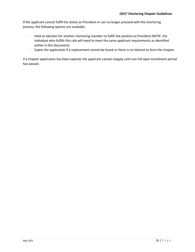If the applicant cannot fulfill the duties as President or can no longer proceed with the chartering process, the following options are available:

- Hold an election for another chartering member to fulfill the position as President (NOTE: the individual who fulfills this role will need to meet the same applicant requirements as identified earlier in this document).
- Expire the application if a replacement cannot be found or there is no interest to form the chapter.

If a chapter application has been expired, the applicant cannot reapply until one full open enrollment period has passed.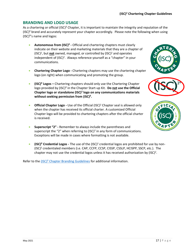#### <span id="page-17-0"></span>**BRANDING AND LOGO USAGE**

As a chartering or official (ISC)² Chapter, it is important to maintain the integrity and reputation of the (ISC)² brand and accurately represent your chapter accordingly. Please note the following when using  $(ISC)^2$ 's name and logos:

- **Autonomous from (ISC)² -** Official and chartering chapters must clearly indicate on their website and marketing materials that they are a chapter of (ISC)<sup>2</sup> , but **not** owned, managed, or controlled by (ISC)<sup>2</sup> and operates independent of (ISC)<sup>2</sup>. Always reference yourself as a "chapter" in your communications.
- **Chartering Chapter Logo -** Chartering chapters may use the chartering chapter logo (on right) when communicating and promoting the group.
- **(ISC)² Logos –** Chartering chapters should only use the Chartering Chapter logo provided by (ISC)² in the Chapter Start-up Kit. **Do not use the Official Chapter logo or standalone (ISC)<sup>2</sup> logo on any communications materials without seeking permission from (ISC)².**
- **Official Chapter Logo -** Use of the Official (ISC)<sup>2</sup> Chapter seal is allowed only when the chapter has received its official charter. A customized Official Chapter logo will be provided to chartering chapters after the official charter is received.
- **Superscript "2" -** Remember to always include the parentheses and superscript the "2" when referring to  $(ISC)^2$  in any form of communications. Exceptions will be made in cases where formatting is not available.
- **(ISC)<sup>2</sup> Credential Logos** The use of the (ISC)<sup>2</sup> credential logos are prohibited for use by non-(ISC)<sup>2</sup> credentialed members (i.e. CAP, CCFP, CCSP, CISSP, CSSLP, HCISPP, SSCP, etc.). The chapter may not use the credential logos unless it has received authorization by  $(ISC)^2$ .

Refer to the (ISC)<sup>2</sup> Chapter Branding Guidelines for additional information.